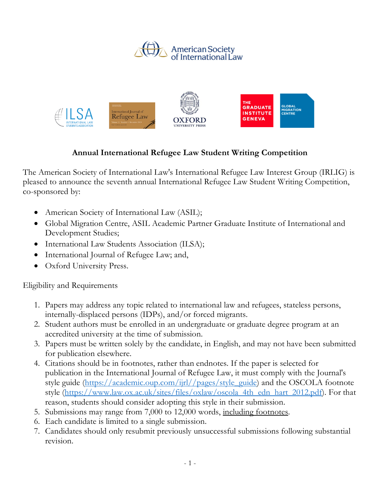



## **Annual International Refugee Law Student Writing Competition**

The American Society of International Law's International Refugee Law Interest Group (IRLIG) is pleased to announce the seventh annual International Refugee Law Student Writing Competition, co-sponsored by:

- American Society of International Law (ASIL);
- Global Migration Centre, ASIL Academic Partner Graduate Institute of International and Development Studies;
- International Law Students Association (ILSA);
- International Journal of Refugee Law; and,
- Oxford University Press.

Eligibility and Requirements

- 1. Papers may address any topic related to international law and refugees, stateless persons, internally-displaced persons (IDPs), and/or forced migrants.
- 2. Student authors must be enrolled in an undergraduate or graduate degree program at an accredited university at the time of submission.
- 3. Papers must be written solely by the candidate, in English, and may not have been submitted for publication elsewhere.
- 4. Citations should be in footnotes, rather than endnotes. If the paper is selected for publication in the International Journal of Refugee Law, it must comply with the Journal's style guide (https://academic.oup.com/ijrl//pages/style\_guide) and the OSCOLA footnote style (https://www.law.ox.ac.uk/sites/files/oxlaw/oscola\_4th\_edn\_hart\_2012.pdf). For that reason, students should consider adopting this style in their submission.
- 5. Submissions may range from 7,000 to 12,000 words, including footnotes.
- 6. Each candidate is limited to a single submission.
- 7. Candidates should only resubmit previously unsuccessful submissions following substantial revision.